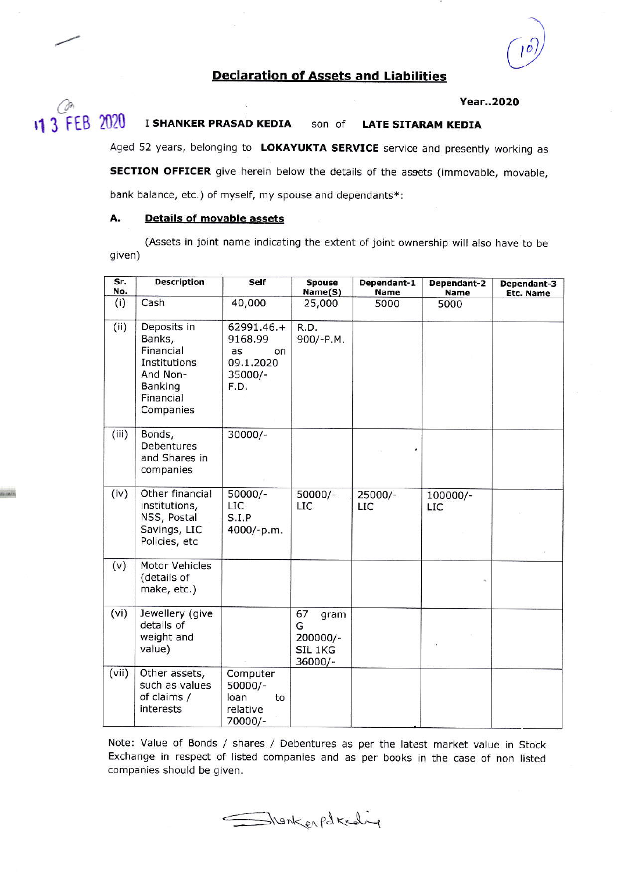# Declaration of Assets and Liabilities

## Year..2O2O

### 11 3 FEB 2020 I SHANKER PRASAD KEDIA son of LATE SITARAM KEDIA

Aged 52 years, belonging to LOKAYUKTA SERVICE service and presently working as SECTION OFFICER give herein below the details of the assets (immovable, movable, bank balance, etc.) of myself, my spouse and dependants\*:

## A, Details of movable assets

 $\overline{c}$ 

(Assets in joint name indicating the extent of joint ownership will also have to be given)

| Sr.<br>No. | <b>Description</b>                                                                                  | Self                                                                | <b>Spouse</b><br>Name(S)                            | Dependant-1<br>Name | Dependant-2<br>Name | Dependant-3<br>Etc. Name |
|------------|-----------------------------------------------------------------------------------------------------|---------------------------------------------------------------------|-----------------------------------------------------|---------------------|---------------------|--------------------------|
| (i)        | Cash                                                                                                | 40,000                                                              | 25,000                                              | 5000                | 5000                |                          |
| (ii)       | Deposits in<br>Banks,<br>Financial<br>Institutions<br>And Non-<br>Banking<br>Financial<br>Companies | $62991.46.+$<br>9168.99<br>as<br>on<br>09.1.2020<br>35000/-<br>F.D. | R.D.<br>900/-P.M.                                   |                     |                     |                          |
| (iii)      | Bonds,<br>Debentures<br>and Shares in<br>companies                                                  | $30000/-$                                                           |                                                     |                     |                     |                          |
| (iv)       | Other financial<br>institutions,<br>NSS, Postal<br>Savings, LIC<br>Policies, etc                    | $50000/-$<br>LIC<br>S.I.P<br>4000/-p.m.                             | $50000/-$<br><b>LIC</b>                             | $25000/-$<br>LIC    | 100000/-<br>LIC     |                          |
| (v)        | Motor Vehicles<br>(details of<br>make, etc.)                                                        |                                                                     |                                                     |                     |                     |                          |
| (vi)       | Jewellery (give<br>details of<br>weight and<br>value)                                               |                                                                     | 67<br>gram<br>G<br>200000/-<br>SIL 1KG<br>$36000/-$ |                     |                     |                          |
| (vii)      | Other assets,<br>such as values<br>of claims /<br>interests                                         | Computer<br>$50000/-$<br>loan<br>to<br>relative<br>70000/-          |                                                     |                     |                     |                          |

Note: Value of Bonds / shares / Debentures as per the latest market value in Stock Exchange in respect of listed companies and as per books in the case of non ljsted companies should be given.

Shankerpateding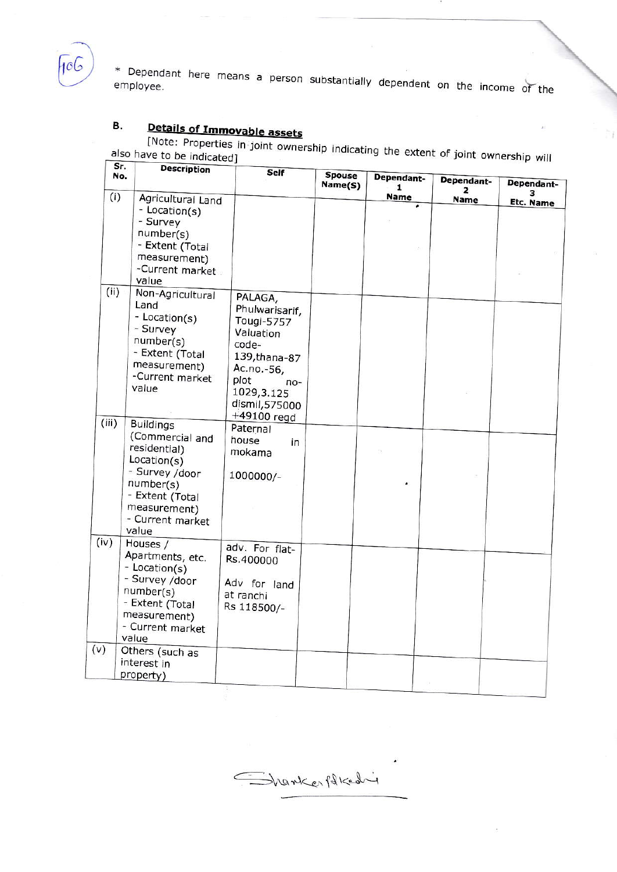

\* Dependant here means a person substantially dependent on the income of the

## Details of Immovable assets В.

[Note: Properties in joint ownership indicating the extent of joint ownership will also have to be indicated]

ħ

|               | Sr.<br><b>Description</b><br>No.                                                                                                                                         | Self                                                                                                                                                                    | <b>Spouse</b><br>Name(S) | Dependant-<br>1 | Dependant-       | Dependant-            |
|---------------|--------------------------------------------------------------------------------------------------------------------------------------------------------------------------|-------------------------------------------------------------------------------------------------------------------------------------------------------------------------|--------------------------|-----------------|------------------|-----------------------|
| (i)           | Agricultural Land<br>- Location(s)<br>- Survey<br>number(s)<br>- Extent (Total<br>measurement)<br>-Current market<br>value                                               |                                                                                                                                                                         |                          | Name            | 2<br><b>Name</b> | з<br><b>Etc. Name</b> |
| (ii)<br>(iii) | Non-Agricultural<br>Land<br>- Location(s)<br>- Survey<br>number(s)<br>- Extent (Total<br>measurement)<br>-Current market<br>value<br><b>Buildings</b><br>(Commercial and | PALAGA,<br>Phulwarisarif,<br>Tougi-5757<br>Valuation<br>code-<br>139, thana-87<br>Ac.no.-56,<br>plot<br>$no-$<br>1029,3.125<br>dismil,575000<br>+49100 regd<br>Paternal |                          |                 |                  |                       |
|               | residential)<br>Location(s)<br>- Survey /door<br>number(s)<br>- Extent (Total<br>measurement)<br>- Current market<br>value                                               | house<br>in<br>mokama<br>1000000/-                                                                                                                                      |                          |                 |                  |                       |
| (iv)          | Houses /<br>Apartments, etc.<br>- Location(s)<br>- Survey /door<br>number(s)<br>- Extent (Total<br>measurement)<br>- Current market<br>value                             | adv. For flat-<br>Rs.400000<br>Adv for land<br>at ranchi<br>Rs 118500/-                                                                                                 |                          |                 |                  |                       |
| (v)           | Others (such as<br>interest in<br>property)                                                                                                                              |                                                                                                                                                                         |                          |                 |                  |                       |

Thenkerfolkeding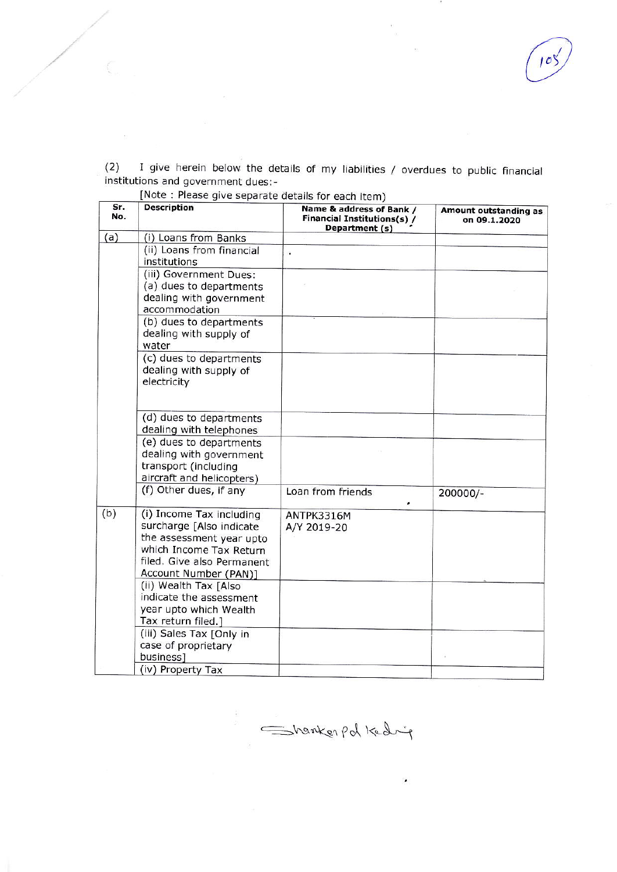$(2)$  I give herein below the details of my liabilities / overdues to public financial institutions and government dues:-

| Sr.<br>No. | <b>Description</b>                                                                                                                                                 | Name & address of Bank /<br>Financial Institutions(s) /<br>Department (s) | Amount outstanding as<br>on 09.1.2020 |
|------------|--------------------------------------------------------------------------------------------------------------------------------------------------------------------|---------------------------------------------------------------------------|---------------------------------------|
| (a)        | (i) Loans from Banks                                                                                                                                               |                                                                           |                                       |
|            | (ii) Loans from financial                                                                                                                                          | ÷,                                                                        |                                       |
|            | institutions                                                                                                                                                       |                                                                           |                                       |
|            | (iii) Government Dues:<br>(a) dues to departments<br>dealing with government                                                                                       |                                                                           |                                       |
|            | accommodation                                                                                                                                                      |                                                                           |                                       |
|            | (b) dues to departments<br>dealing with supply of<br>water                                                                                                         |                                                                           |                                       |
|            | (c) dues to departments<br>dealing with supply of<br>electricity                                                                                                   |                                                                           |                                       |
|            | (d) dues to departments<br>dealing with telephones                                                                                                                 |                                                                           |                                       |
|            | (e) dues to departments<br>dealing with government<br>transport (including<br>aircraft and helicopters)                                                            |                                                                           |                                       |
|            | (f) Other dues, if any                                                                                                                                             | Loan from friends                                                         | 200000/-                              |
| (b)        | (i) Income Tax including<br>surcharge [Also indicate<br>the assessment year upto<br>which Income Tax Return<br>filed. Give also Permanent<br>Account Number (PAN)] | ANTPK3316M<br>A/Y 2019-20                                                 |                                       |
|            | (ii) Wealth Tax [Also<br>indicate the assessment<br>year upto which Wealth<br>Tax return filed.]                                                                   |                                                                           |                                       |
|            | (iii) Sales Tax [Only in<br>case of proprietary<br>business]<br>(iv) Property Tax                                                                                  |                                                                           |                                       |

[Note : Please give separate details for each item)

= hanker pd Kedig